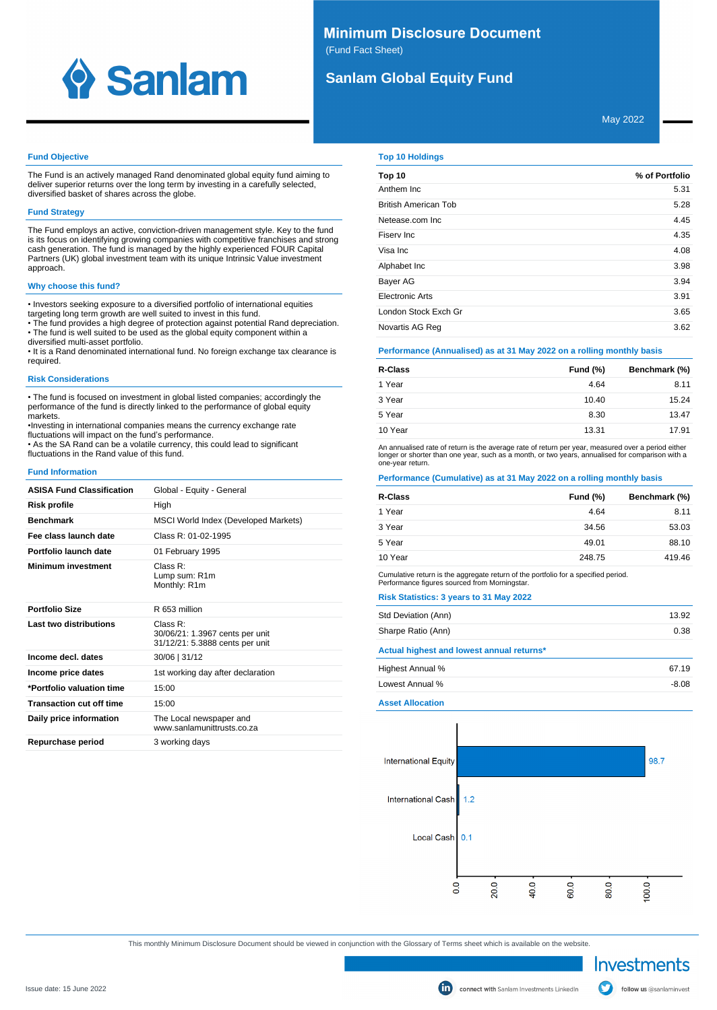

# **Minimum Disclosure Document** (Fund Fact Sheet)

# **Sanlam Global Equity Fund**

May 2022

### **Fund Objective**

The Fund is an actively managed Rand denominated global equity fund aiming to deliver superior returns over the long term by investing in a carefully selected, diversified basket of shares across the globe.

### **Fund Strategy**

The Fund employs an active, conviction-driven management style. Key to the fund is its focus on identifying growing companies with competitive franchises and strong cash generation. The fund is managed by the highly experienced FOUR Capital Partners (UK) global investment team with its unique Intrinsic Value investment approach.

### **Why choose this fund?**

• Investors seeking exposure to a diversified portfolio of international equities targeting long term growth are well suited to invest in this fund.

• The fund provides a high degree of protection against potential Rand depreciation. • The fund is well suited to be used as the global equity component within a

diversified multi-asset portfolio. • It is a Rand denominated international fund. No foreign exchange tax clearance is required.

### **Risk Considerations**

• The fund is focused on investment in global listed companies; accordingly the performance of the fund is directly linked to the performance of global equity markets.

•Investing in international companies means the currency exchange rate fluctuations will impact on the fund's performance. • As the SA Rand can be a volatile currency, this could lead to significant fluctuations in the Rand value of this fund.

**Fund Information**

| <b>ASISA Fund Classification</b> | Global - Equity - General                                                         |
|----------------------------------|-----------------------------------------------------------------------------------|
| Risk profile                     | High                                                                              |
| <b>Benchmark</b>                 | MSCI World Index (Developed Markets)                                              |
| Fee class launch date            | Class $R: 01-02-1995$                                                             |
| Portfolio launch date            | 01 February 1995                                                                  |
| <b>Minimum investment</b>        | Class $R^1$<br>Lump sum: R1m<br>Monthly: R1m                                      |
| <b>Portfolio Size</b>            | R 653 million                                                                     |
| Last two distributions           | Class $R^1$<br>30/06/21: 1.3967 cents per unit<br>31/12/21: 5.3888 cents per unit |
| Income decl. dates               | 30/06   31/12                                                                     |
| Income price dates               | 1st working day after declaration                                                 |
| *Portfolio valuation time        | 15:00                                                                             |
| <b>Transaction cut off time</b>  | 15:00                                                                             |
| Daily price information          | The Local newspaper and<br>www.sanlamunittrusts.co.za                             |
| Repurchase period                | 3 working days                                                                    |

## **Top 10 Holdings**

| Top 10                      | % of Portfolio |
|-----------------------------|----------------|
| Anthem Inc.                 | 5.31           |
| <b>British American Tob</b> | 5.28           |
| Netease.com Inc.            | 4.45           |
| Fisery Inc.                 | 4.35           |
| Visa Inc                    | 4.08           |
| Alphabet Inc                | 3.98           |
| <b>Bayer AG</b>             | 3.94           |
| Electronic Arts             | 3.91           |
| London Stock Exch Gr        | 3.65           |
| Novartis AG Reg             | 3.62           |

## **Performance (Annualised) as at 31 May 2022 on a rolling monthly basis**

| R-Class | <b>Fund (%)</b> | Benchmark (%) |
|---------|-----------------|---------------|
| 1 Year  | 4.64            | 8.11          |
| 3 Year  | 10.40           | 15.24         |
| 5 Year  | 8.30            | 13.47         |
| 10 Year | 13.31           | 17.91         |

An annualised rate of return is the average rate of return per year, measured over a period either<br>longer or shorter than one year, such as a month, or two years, annualised for comparison with a one-year return.

# **Performance (Cumulative) as at 31 May 2022 on a rolling monthly basis**

| R-Class | <b>Fund (%)</b> | Benchmark (%) |
|---------|-----------------|---------------|
| 1 Year  | 4.64            | 8.11          |
| 3 Year  | 34.56           | 53.03         |
| 5 Year  | 49.01           | 88.10         |
| 10 Year | 248.75          | 419.46        |

Cumulative return is the aggregate return of the portfolio for a specified period. Performance figures sourced from Morningstar.

## **Risk Statistics: 3 years to 31 May 2022**

| 13.92 |
|-------|
| 0.38  |
|       |
| 67 19 |
|       |

Lowest Annual % -8.08

**Asset Allocation**



This monthly Minimum Disclosure Document should be viewed in conjunction with the Glossary of Terms sheet which is available on the website.

Investments

follow us @sanlaminvest